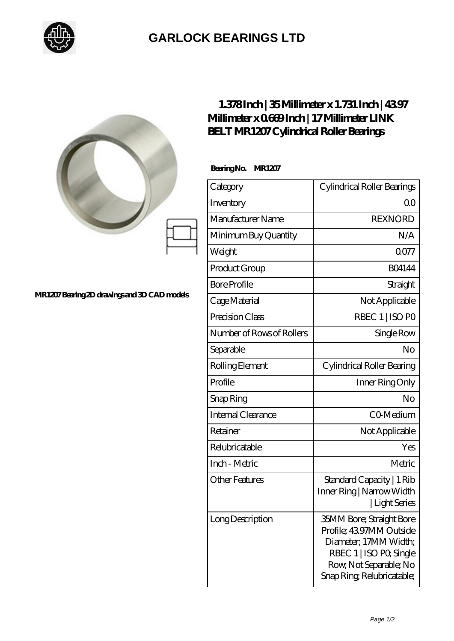

## **[GARLOCK BEARINGS LTD](https://m.letterstopriests.com)**

|                                             | 1.378Inch   35Millimeter x 1.731 Inch   4397<br>Millimeter x 0669Inch   17 Millimeter LINK<br>BELT MR1207 Cylindrical Roller Bearings |                                                                                                                                                                       |
|---------------------------------------------|---------------------------------------------------------------------------------------------------------------------------------------|-----------------------------------------------------------------------------------------------------------------------------------------------------------------------|
|                                             | BearingNo.<br><b>MR1207</b>                                                                                                           |                                                                                                                                                                       |
|                                             | Category                                                                                                                              | Cylindrical Roller Bearings                                                                                                                                           |
|                                             | Inventory                                                                                                                             | 0 <sub>0</sub>                                                                                                                                                        |
|                                             | Manufacturer Name                                                                                                                     | <b>REXNORD</b>                                                                                                                                                        |
|                                             | Minimum Buy Quantity                                                                                                                  | N/A                                                                                                                                                                   |
|                                             | Weight                                                                                                                                | 0077                                                                                                                                                                  |
|                                             | Product Group                                                                                                                         | <b>BO4144</b>                                                                                                                                                         |
|                                             | <b>Bore Profile</b>                                                                                                                   | Straight                                                                                                                                                              |
| MR1207Bearing 2D drawings and 3D CAD models | Cage Material                                                                                                                         | Not Applicable                                                                                                                                                        |
|                                             | Precision Class                                                                                                                       | RBEC 1   ISO PO                                                                                                                                                       |
|                                             | Number of Rows of Rollers                                                                                                             | Single Row                                                                                                                                                            |
|                                             | Separable                                                                                                                             | No                                                                                                                                                                    |
|                                             | Rolling Element                                                                                                                       | Cylindrical Roller Bearing                                                                                                                                            |
|                                             | Profile                                                                                                                               | Inner Ring Only                                                                                                                                                       |
|                                             | Snap Ring                                                                                                                             | No                                                                                                                                                                    |
|                                             | Internal Clearance                                                                                                                    | CO-Medium                                                                                                                                                             |
|                                             | Retainer                                                                                                                              | Not Applicable                                                                                                                                                        |
|                                             | Relubricatable                                                                                                                        | Yes                                                                                                                                                                   |
|                                             | Inch - Metric                                                                                                                         | Metric                                                                                                                                                                |
|                                             | <b>Other Features</b>                                                                                                                 | Standard Capacity   1 Rib<br>Inner Ring   Narrow Width<br>Light Series                                                                                                |
|                                             | Long Description                                                                                                                      | <b>35MM Bore; Straight Bore</b><br>Profile; 4397MM Outside<br>Diameter; 17MM Width;<br>RBEC 1   ISO PO, Single<br>Row, Not Separable; No<br>Snap Ring Relubricatable; |